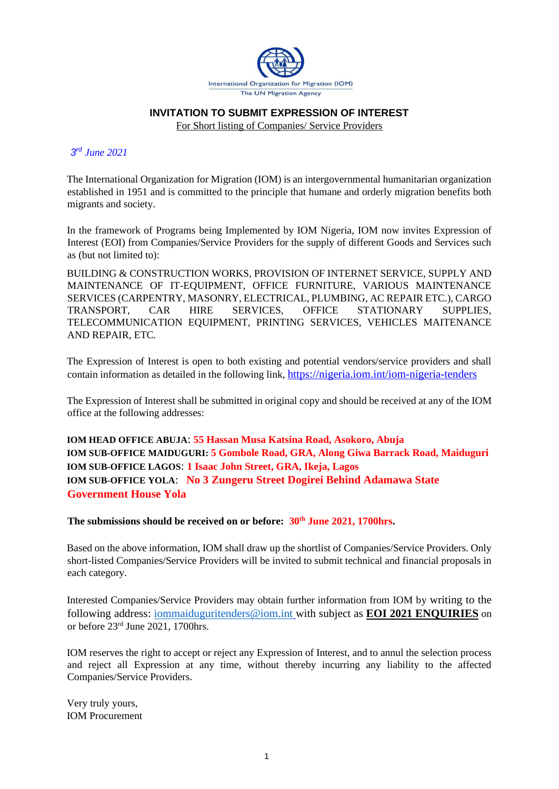

#### **INVITATION TO SUBMIT EXPRESSION OF INTEREST**

For Short listing of Companies/ Service Providers

### *3 rd June 2021*

The International Organization for Migration (IOM) is an intergovernmental humanitarian organization established in 1951 and is committed to the principle that humane and orderly migration benefits both migrants and society.

In the framework of Programs being Implemented by IOM Nigeria*,* IOM now invites Expression of Interest (EOI) from Companies/Service Providers for the supply of different Goods and Services such as (but not limited to):

BUILDING & CONSTRUCTION WORKS, PROVISION OF INTERNET SERVICE, SUPPLY AND MAINTENANCE OF IT-EQUIPMENT, OFFICE FURNITURE, VARIOUS MAINTENANCE SERVICES (CARPENTRY, MASONRY, ELECTRICAL, PLUMBING, AC REPAIR ETC.), CARGO TRANSPORT, CAR HIRE SERVICES, OFFICE STATIONARY SUPPLIES, TELECOMMUNICATION EQUIPMENT, PRINTING SERVICES, VEHICLES MAITENANCE AND REPAIR, ETC*.*

The Expression of Interest is open to both existing and potential vendors/service providers and shall contain information as detailed in the following link, <https://nigeria.iom.int/iom-nigeria-tenders>

The Expression of Interest shall be submitted in original copy and should be received at any of the IOM office at the following addresses:

**IOM HEAD OFFICE ABUJA**: **55 Hassan Musa Katsina Road, Asokoro, Abuja IOM SUB-OFFICE MAIDUGURI: 5 Gombole Road, GRA, Along Giwa Barrack Road, Maiduguri IOM SUB-OFFICE LAGOS**: **1 Isaac John Street, GRA, Ikeja, Lagos IOM SUB-OFFICE YOLA**: **No 3 Zungeru Street Dogirei Behind Adamawa State Government House Yola**

**The submissions should be received on or before: 30 th June 2021, 1700hrs.**

Based on the above information, IOM shall draw up the shortlist of Companies/Service Providers. Only short-listed Companies/Service Providers will be invited to submit technical and financial proposals in each category.

Interested Companies/Service Providers may obtain further information from IOM by writing to the following address: [iommaiduguritenders@iom.int](mailto:iommaiduguritenders@iom.int) with subject as **EOI 2021 ENQUIRIES** on or before 23rd June 2021, 1700hrs.

IOM reserves the right to accept or reject any Expression of Interest, and to annul the selection process and reject all Expression at any time, without thereby incurring any liability to the affected Companies/Service Providers.

Very truly yours, IOM Procurement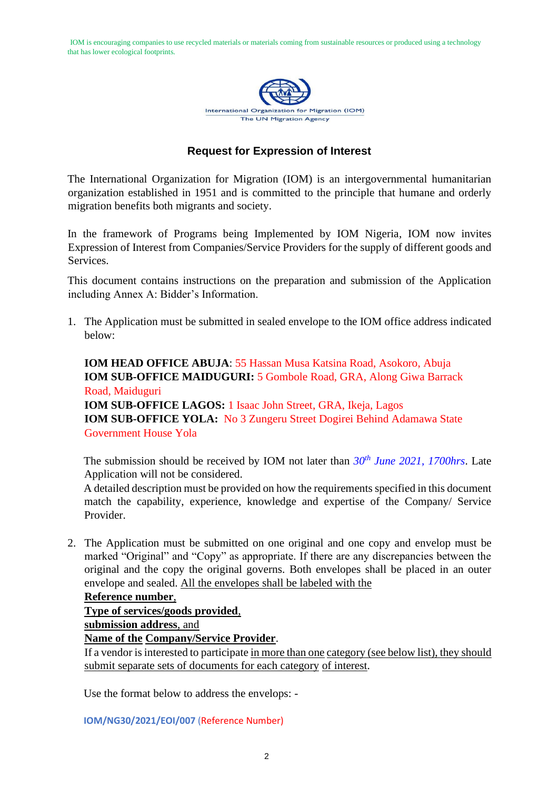IOM is encouraging companies to use recycled materials or materials coming from sustainable resources or produced using a technology that has lower ecological footprints.



## **Request for Expression of Interest**

The International Organization for Migration (IOM) is an intergovernmental humanitarian organization established in 1951 and is committed to the principle that humane and orderly migration benefits both migrants and society.

In the framework of Programs being Implemented by IOM Nigeria*,* IOM now invites Expression of Interest from Companies/Service Providers for the supply of different goods and Services.

This document contains instructions on the preparation and submission of the Application including Annex A: Bidder's Information.

1. The Application must be submitted in sealed envelope to the IOM office address indicated below:

**IOM HEAD OFFICE ABUJA**: 55 Hassan Musa Katsina Road, Asokoro, Abuja **IOM SUB-OFFICE MAIDUGURI:** 5 Gombole Road, GRA, Along Giwa Barrack Road, Maiduguri **IOM SUB-OFFICE LAGOS:** 1 Isaac John Street, GRA, Ikeja, Lagos **IOM SUB-OFFICE YOLA:** No 3 Zungeru Street Dogirei Behind Adamawa State Government House Yola

The submission should be received by IOM not later than  $30<sup>th</sup>$  *June* 2021, 1700hrs. Late Application will not be considered.

A detailed description must be provided on how the requirements specified in this document match the capability, experience, knowledge and expertise of the Company/ Service Provider.

2. The Application must be submitted on one original and one copy and envelop must be marked "Original" and "Copy" as appropriate. If there are any discrepancies between the original and the copy the original governs. Both envelopes shall be placed in an outer envelope and sealed. All the envelopes shall be labeled with the

#### **Reference number**,

**Type of services/goods provided**,

**submission address**, and

#### **Name of the Company/Service Provider**.

If a vendor is interested to participate in more than one category (see below list), they should submit separate sets of documents for each category of interest.

Use the format below to address the envelops: -

**IOM/NG30/2021/EOI/007** (Reference Number)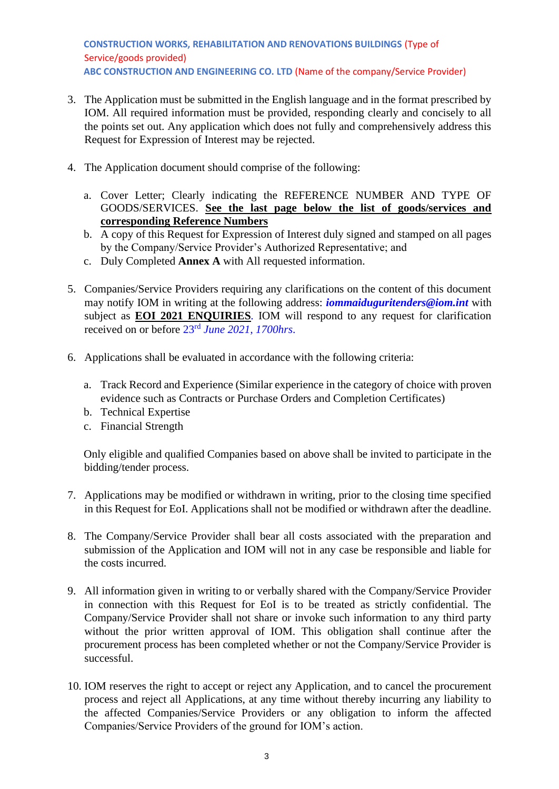**CONSTRUCTION WORKS, REHABILITATION AND RENOVATIONS BUILDINGS** (Type of Service/goods provided) **ABC CONSTRUCTION AND ENGINEERING CO. LTD** (Name of the company/Service Provider)

- 3. The Application must be submitted in the English language and in the format prescribed by IOM. All required information must be provided, responding clearly and concisely to all the points set out. Any application which does not fully and comprehensively address this Request for Expression of Interest may be rejected.
- 4. The Application document should comprise of the following:
	- a. Cover Letter; Clearly indicating the REFERENCE NUMBER AND TYPE OF GOODS/SERVICES. **See the last page below the list of goods/services and corresponding Reference Numbers**
	- b. A copy of this Request for Expression of Interest duly signed and stamped on all pages by the Company/Service Provider's Authorized Representative; and
	- c. Duly Completed **Annex A** with All requested information.
- 5. Companies/Service Providers requiring any clarifications on the content of this document may notify IOM in writing at the following address: *[iommaiduguritenders@iom.int](mailto:iommaiduguritenders@iom.int)* with subject as **EOI 2021 ENQUIRIES***.* IOM will respond to any request for clarification received on or before 23rd *June 2021, 1700hrs*.
- 6. Applications shall be evaluated in accordance with the following criteria:
	- a. Track Record and Experience (Similar experience in the category of choice with proven evidence such as Contracts or Purchase Orders and Completion Certificates)
	- b. Technical Expertise
	- c. Financial Strength

Only eligible and qualified Companies based on above shall be invited to participate in the bidding/tender process.

- 7. Applications may be modified or withdrawn in writing, prior to the closing time specified in this Request for EoI. Applications shall not be modified or withdrawn after the deadline.
- 8. The Company/Service Provider shall bear all costs associated with the preparation and submission of the Application and IOM will not in any case be responsible and liable for the costs incurred.
- 9. All information given in writing to or verbally shared with the Company/Service Provider in connection with this Request for EoI is to be treated as strictly confidential. The Company/Service Provider shall not share or invoke such information to any third party without the prior written approval of IOM. This obligation shall continue after the procurement process has been completed whether or not the Company/Service Provider is successful.
- 10. IOM reserves the right to accept or reject any Application, and to cancel the procurement process and reject all Applications, at any time without thereby incurring any liability to the affected Companies/Service Providers or any obligation to inform the affected Companies/Service Providers of the ground for IOM's action.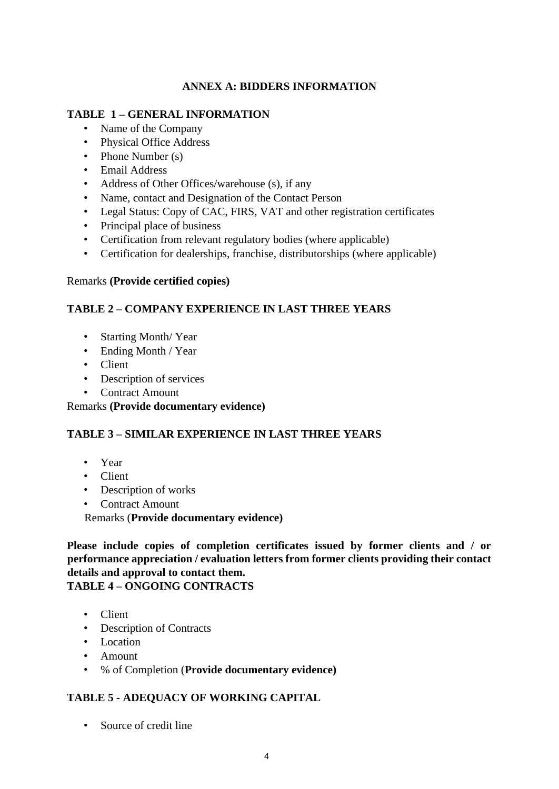## **ANNEX A: BIDDERS INFORMATION**

## **TABLE 1 – GENERAL INFORMATION**

- Name of the Company
- Physical Office Address
- Phone Number (s)
- Email Address
- Address of Other Offices/warehouse (s), if any
- Name, contact and Designation of the Contact Person
- Legal Status: Copy of CAC, FIRS, VAT and other registration certificates
- Principal place of business
- Certification from relevant regulatory bodies (where applicable)
- Certification for dealerships, franchise, distributorships (where applicable)

## Remarks **(Provide certified copies)**

## **TABLE 2 – COMPANY EXPERIENCE IN LAST THREE YEARS**

- Starting Month/ Year
- Ending Month / Year
- Client
- Description of services
- Contract Amount

Remarks **(Provide documentary evidence)**

# **TABLE 3 – SIMILAR EXPERIENCE IN LAST THREE YEARS**

- Year
- Client
- Description of works
- Contract Amount

Remarks (**Provide documentary evidence)**

**Please include copies of completion certificates issued by former clients and / or performance appreciation / evaluation letters from former clients providing their contact details and approval to contact them.** 

# **TABLE 4 – ONGOING CONTRACTS**

- Client
- Description of Contracts
- Location
- Amount
- % of Completion (**Provide documentary evidence)**

# **TABLE 5 - ADEQUACY OF WORKING CAPITAL**

• Source of credit line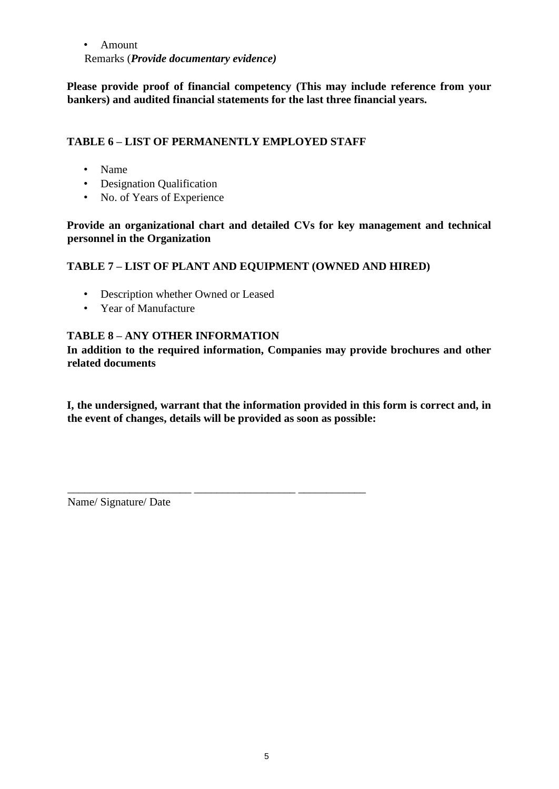• Amount Remarks (*Provide documentary evidence)*

**Please provide proof of financial competency (This may include reference from your bankers) and audited financial statements for the last three financial years.** 

## **TABLE 6 – LIST OF PERMANENTLY EMPLOYED STAFF**

\_\_\_\_\_\_\_\_\_\_\_\_\_\_\_\_\_\_\_\_\_\_ \_\_\_\_\_\_\_\_\_\_\_\_\_\_\_\_\_\_ \_\_\_\_\_\_\_\_\_\_\_\_

- Name
- Designation Qualification
- No. of Years of Experience

**Provide an organizational chart and detailed CVs for key management and technical personnel in the Organization** 

## **TABLE 7 – LIST OF PLANT AND EQUIPMENT (OWNED AND HIRED)**

- Description whether Owned or Leased
- Year of Manufacture

## **TABLE 8 – ANY OTHER INFORMATION**

**In addition to the required information, Companies may provide brochures and other related documents** 

**I, the undersigned, warrant that the information provided in this form is correct and, in the event of changes, details will be provided as soon as possible:** 

Name/ Signature/ Date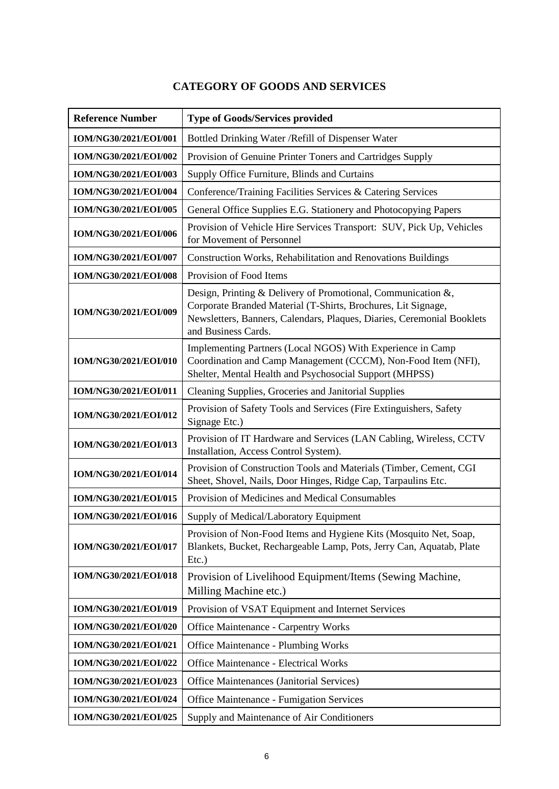# **CATEGORY OF GOODS AND SERVICES**

| <b>Reference Number</b>      | <b>Type of Goods/Services provided</b>                                                                                                                                                                                         |
|------------------------------|--------------------------------------------------------------------------------------------------------------------------------------------------------------------------------------------------------------------------------|
| IOM/NG30/2021/EOI/001        | Bottled Drinking Water / Refill of Dispenser Water                                                                                                                                                                             |
| IOM/NG30/2021/EOI/002        | Provision of Genuine Printer Toners and Cartridges Supply                                                                                                                                                                      |
| IOM/NG30/2021/EOI/003        | Supply Office Furniture, Blinds and Curtains                                                                                                                                                                                   |
| IOM/NG30/2021/EOI/004        | Conference/Training Facilities Services & Catering Services                                                                                                                                                                    |
| IOM/NG30/2021/EOI/005        | General Office Supplies E.G. Stationery and Photocopying Papers                                                                                                                                                                |
| IOM/NG30/2021/EOI/006        | Provision of Vehicle Hire Services Transport: SUV, Pick Up, Vehicles<br>for Movement of Personnel                                                                                                                              |
| IOM/NG30/2021/EOI/007        | Construction Works, Rehabilitation and Renovations Buildings                                                                                                                                                                   |
| IOM/NG30/2021/EOI/008        | Provision of Food Items                                                                                                                                                                                                        |
| <b>IOM/NG30/2021/EOI/009</b> | Design, Printing & Delivery of Promotional, Communication &,<br>Corporate Branded Material (T-Shirts, Brochures, Lit Signage,<br>Newsletters, Banners, Calendars, Plaques, Diaries, Ceremonial Booklets<br>and Business Cards. |
| IOM/NG30/2021/EOI/010        | Implementing Partners (Local NGOS) With Experience in Camp<br>Coordination and Camp Management (CCCM), Non-Food Item (NFI),<br>Shelter, Mental Health and Psychosocial Support (MHPSS)                                         |
| IOM/NG30/2021/EOI/011        | Cleaning Supplies, Groceries and Janitorial Supplies                                                                                                                                                                           |
| IOM/NG30/2021/EOI/012        | Provision of Safety Tools and Services (Fire Extinguishers, Safety<br>Signage Etc.)                                                                                                                                            |
| IOM/NG30/2021/EOI/013        | Provision of IT Hardware and Services (LAN Cabling, Wireless, CCTV<br>Installation, Access Control System).                                                                                                                    |
| IOM/NG30/2021/EOI/014        | Provision of Construction Tools and Materials (Timber, Cement, CGI<br>Sheet, Shovel, Nails, Door Hinges, Ridge Cap, Tarpaulins Etc.                                                                                            |
| IOM/NG30/2021/EOI/015        | Provision of Medicines and Medical Consumables                                                                                                                                                                                 |
| IOM/NG30/2021/EOI/016        | Supply of Medical/Laboratory Equipment                                                                                                                                                                                         |
| IOM/NG30/2021/EOI/017        | Provision of Non-Food Items and Hygiene Kits (Mosquito Net, Soap,<br>Blankets, Bucket, Rechargeable Lamp, Pots, Jerry Can, Aquatab, Plate<br>$Etc.$ )                                                                          |
| IOM/NG30/2021/EOI/018        | Provision of Livelihood Equipment/Items (Sewing Machine,<br>Milling Machine etc.)                                                                                                                                              |
| IOM/NG30/2021/EOI/019        | Provision of VSAT Equipment and Internet Services                                                                                                                                                                              |
| IOM/NG30/2021/EOI/020        | <b>Office Maintenance - Carpentry Works</b>                                                                                                                                                                                    |
| IOM/NG30/2021/EOI/021        | <b>Office Maintenance - Plumbing Works</b>                                                                                                                                                                                     |
| IOM/NG30/2021/EOI/022        | <b>Office Maintenance - Electrical Works</b>                                                                                                                                                                                   |
| IOM/NG30/2021/EOI/023        | Office Maintenances (Janitorial Services)                                                                                                                                                                                      |
| IOM/NG30/2021/EOI/024        | <b>Office Maintenance - Fumigation Services</b>                                                                                                                                                                                |
| IOM/NG30/2021/EOI/025        | Supply and Maintenance of Air Conditioners                                                                                                                                                                                     |